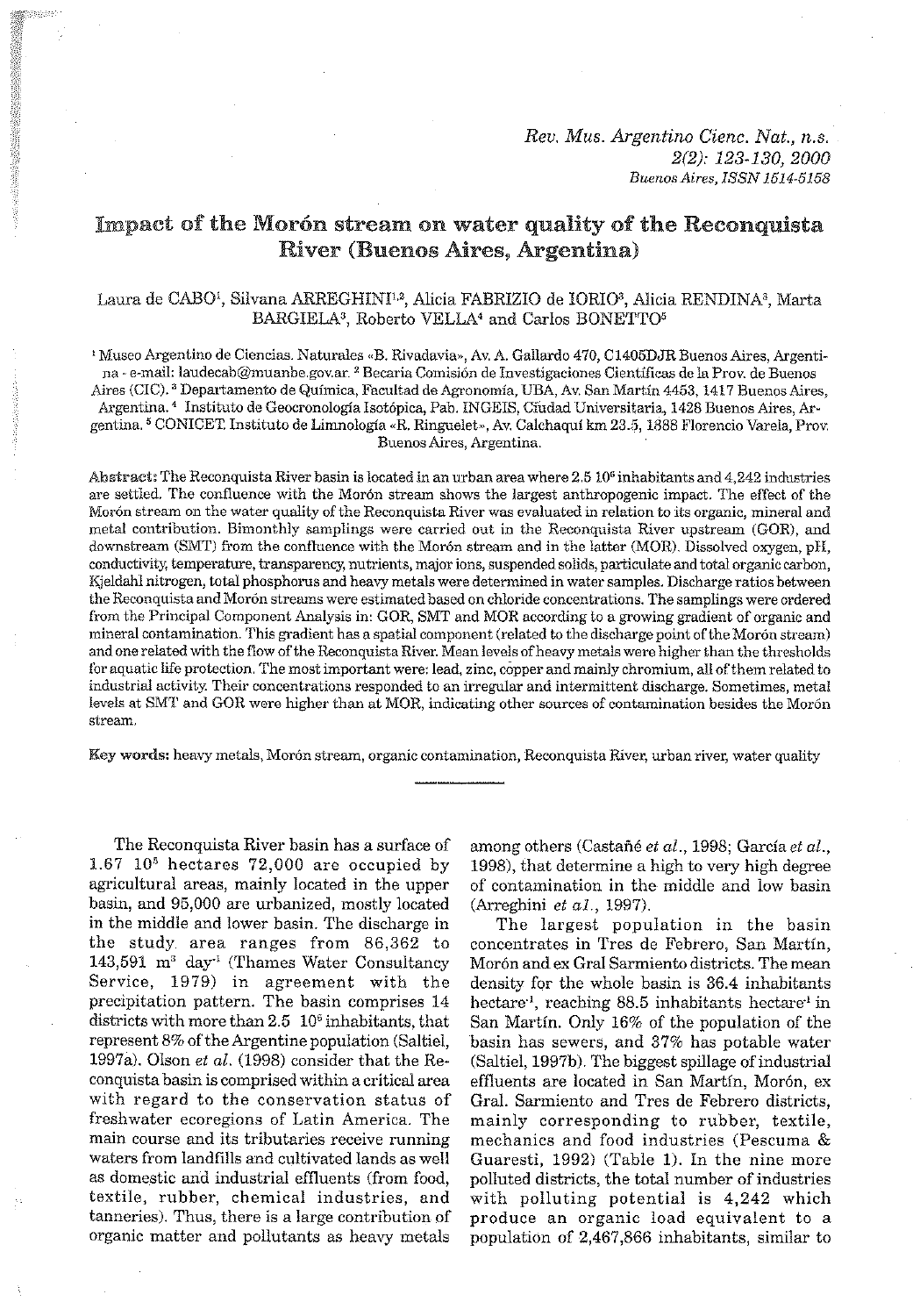# Impact of the Morón stream on water quality of the Reconquista River (Buenos Aires, Argentina)

# Laura de CABO<sup>1</sup>, Silvana ARREGHINI<sup>1,2</sup>, Alicia FABRIZIO de IORIO<sup>3</sup>, Alicia RENDINA<sup>3</sup>, Marta BARGIELA<sup>3</sup>, Roberto VELLA<sup>4</sup> and Carlos BONETTO<sup>5</sup>

<sup>1</sup> Museo Argentino de Ciencias. Naturales «B. Rivadavia», Av. A. Gallardo 470, C1405DJR Buenos Aires, Argenti-<br>na - e-mail: laudecab@muanbe.gov.ar. <sup>2</sup> Becaria Comisión de Investigaciones Científicas de la Prov. de Buenos Aires (CIC).<sup>3</sup> Departamento de Química, Facultad de Agronomía, UBA, Av. San Martín 4453, 1417 Buenos Aires, Argentina. <sup>4</sup> Instituto de Geocronología Isotópica, Pab. INGEIS, Cíudad Universitaria, 1428 Buenos Aires, Argentina. <sup>5</sup> CONICET. Instituto de Limnología «R. Ringuelet», Av. Calchaquí km 23.5, 1888 Florencio Varela, Prov. Buenos Aires, Argentina.

Abstract: The Reconquista River basin is located in an urban area where 2.5 10<sup>6</sup> inhabitants and 4,242 industries are settled. The confluence with the Morón stream shows the largest anthropogenic impact. The effect of the Morón stream on the water quality of the Reconquista River was evaluated in relation to its organic, mineral and metal contribution. Bimonthly samplings were carried out in the Reconquista River upstream (GOR), and downstream (SMT) from the confluence with the Morón stream and in the latter (MOR). Dissolved oxygen, pH, conductivity, temperature, transparency, nutrients, major ions, suspended solids, particulate and total organic carbon,<br>Kjeldahl nitrogen, total phosphorus and heavy metals were determined in water samples. Discharge ratio the Reconquista and Morón streams were estimated based on chloride concentrations. The samplings were ordered from the Principal Component Analysis in: GOR, SMT and MOR according to a growing gradient of organic and mineral contamination. This gradient has a spatial component (related to the discharge point of the Morón stream) and one related with the flow of the Reconquista River. Mean levels of heavy metals were higher than the thresholds for aquatic life protection. The most important were: lead, zinc, copper and mainly chromium, all of them related to<br>industrial activity. Their concentrations responded to an irregular and intermittent discharge. Sometimes levels at SMT and GOR were higher than at MOR, indicating other sources of contamination besides the Morón stream.

Key words: heavy metals, Morón stream, organic contamination, Reconquista River, urban river, water quality

The Reconquista River basin has a surface of  $1.67$   $10<sup>5</sup>$  hectares 72,000 are occupied by agricultural areas, mainly located in the upper basin, and 95,000 are urbanized, mostly located in the middle and lower basin. The discharge in the study area ranges from 86,362 to 143,591 m3 day-' (Thames Water Consultancy Service, 1979) in agreement with the precipitation pattern. The basin comprises 14 districts with more than  $2.5 \, 10^6$  inhabitants, that represent 8% of the Argentine population (Saltiel, 1997a). Olson et *al.* (1998) consider that the Reconquista basin is comprised within a critical area with regard to the conservation status of freshwater ecoregions of Latin America. The main course and its tributaries receive running waters from landfills and cultivated lands as well as domestic and industrial effluents (from food, textile, ruhher, chemical industries, and tanneries). Thus, there is a large contribution of organic matter and pollutants as heavy metals

among others (Castañé et *al.*, 1998; García et *al.*, 1998), that determine a high to very high degree of contamination in the middle and low basin (Arreghini et a1., 1997).

The largest population in the basin concentrates in Tres de Fehrero, San Martin, Morón and ex Gral Sarmiento districts. The mean density for the whole basin is 36.4 inhabitants hectare<sup>-1</sup>, reaching 88.5 inhabitants hectare<sup>-1</sup> in San Martin. Only 16% of the population of the basin has sewers, and 37% has potable water (Saltiel, 1997h). The biggest spillage of industrial effluents are located in San Martín, Morón, ex Gral. Sarmiento and Tres de Fehrero districts, mainly corresponding to ruhher, textile, mechanics and food industrics (Pescuma & Guaresti, 1992) (Table 1). In the nine more polluted districts, the total number of industries with polluting potential is 4,242 which produce an organic load equivalent to a population of 2,467,866 inhabitants, similar to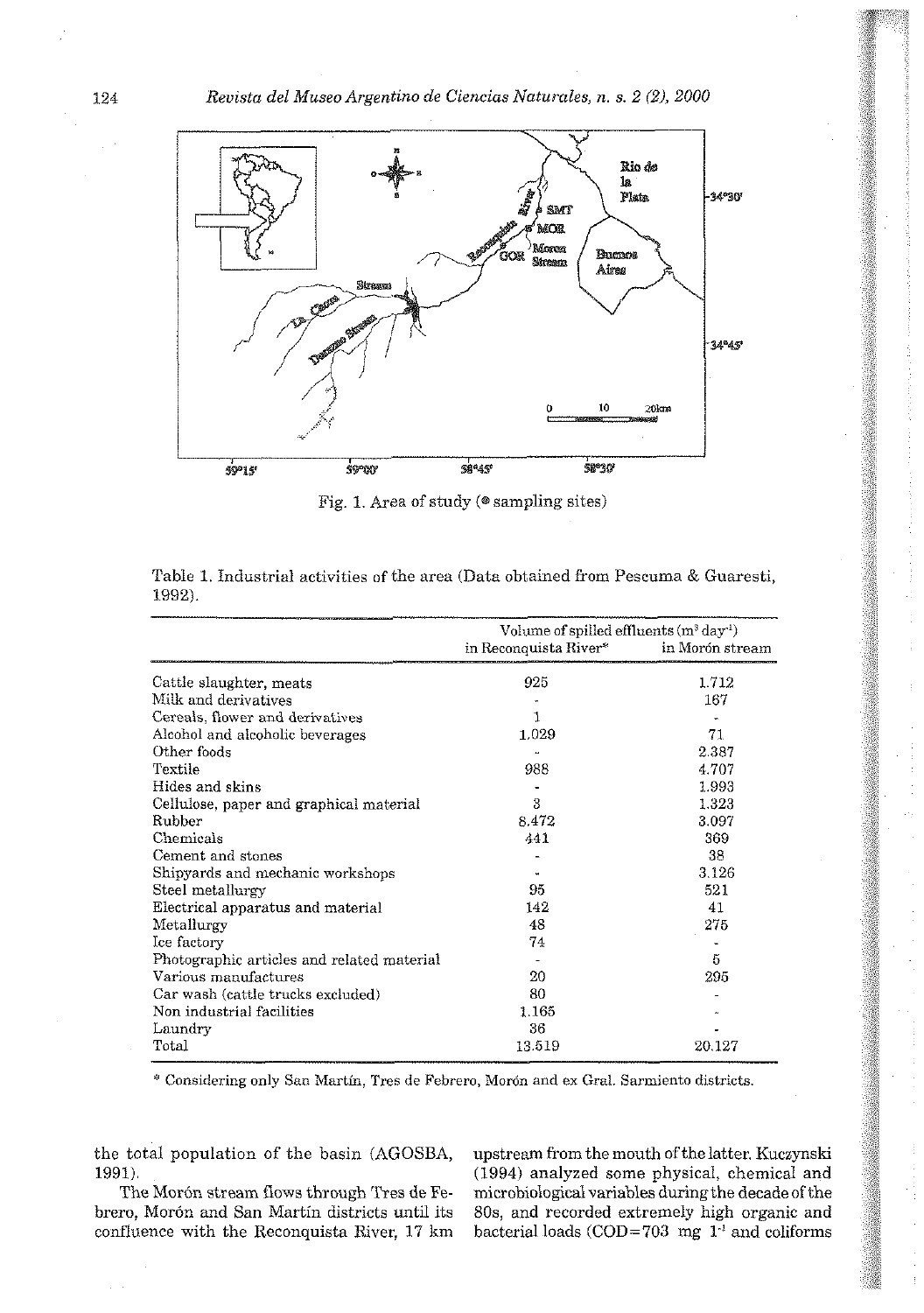

Fig. 1. Area of study ( $\circ$  sampling sites)

|                                            | Volume of spilled effluents $(m^3 \, day^{-1})$ |                 |  |  |  |
|--------------------------------------------|-------------------------------------------------|-----------------|--|--|--|
|                                            | in Reconquista River*                           | in Morón stream |  |  |  |
| Cattle slaughter, meats                    | 925                                             | 1.712           |  |  |  |
| Milk and derivatives                       |                                                 | 167             |  |  |  |
| Cereals, flower and derivatives            |                                                 |                 |  |  |  |
| Alcohol and alcoholic beverages            | 1.029                                           | 71              |  |  |  |
| Other foods                                |                                                 | 2.387           |  |  |  |
| Textile                                    | 988                                             | 4.707           |  |  |  |
| Hides and skins                            |                                                 | 1.993           |  |  |  |
| Cellulose, paper and graphical material    | 3                                               | 1.323           |  |  |  |
| Rubber                                     | 8.472                                           | 3.097           |  |  |  |
| Chemicals                                  | 441                                             | 369             |  |  |  |
| Cement and stones                          |                                                 | 38              |  |  |  |
| Shipyards and mechanic workshops           |                                                 | 3.126           |  |  |  |
| Steel metallurgy                           | 95                                              | 521             |  |  |  |
| Electrical apparatus and material          | 142                                             | 41              |  |  |  |
| Metallurgy                                 | 48                                              | 275             |  |  |  |
| Ice factory                                | 74                                              |                 |  |  |  |
| Photographic articles and related material |                                                 | 5               |  |  |  |
| Various manufactures                       | 20                                              | 295             |  |  |  |
| Car wash (cattle trucks excluded)          | 80                                              |                 |  |  |  |
| Non industrial facilities                  | 1.165                                           |                 |  |  |  |
| Laundry                                    | 36                                              |                 |  |  |  |
| Total                                      | 13.519                                          | 20.127          |  |  |  |

|        | Table 1. Industrial activities of the area (Data obtained from Pescuma & Guaresti, |  |  |  |  |  |
|--------|------------------------------------------------------------------------------------|--|--|--|--|--|
| 1992). |                                                                                    |  |  |  |  |  |

Considering only San Martin, Tres de Febrero, Mordn and ex Grai. Sarmiento districts.

the total population of the basin (AGOSBA, upstream from the mouth of the latter. Kuczynski

brero, Morón and San Martín districts until its 80s, and recorded extremely high organic and confluence with the Reconquista River.  $17 \text{ km}$  bacterial loads (COD=703 mg  $1<sup>1</sup>$  and coliforms

1991). (1994) analyzed some physical, chemical and The Morón stream flows through Tres de Fe- microbiological variables during the decade of the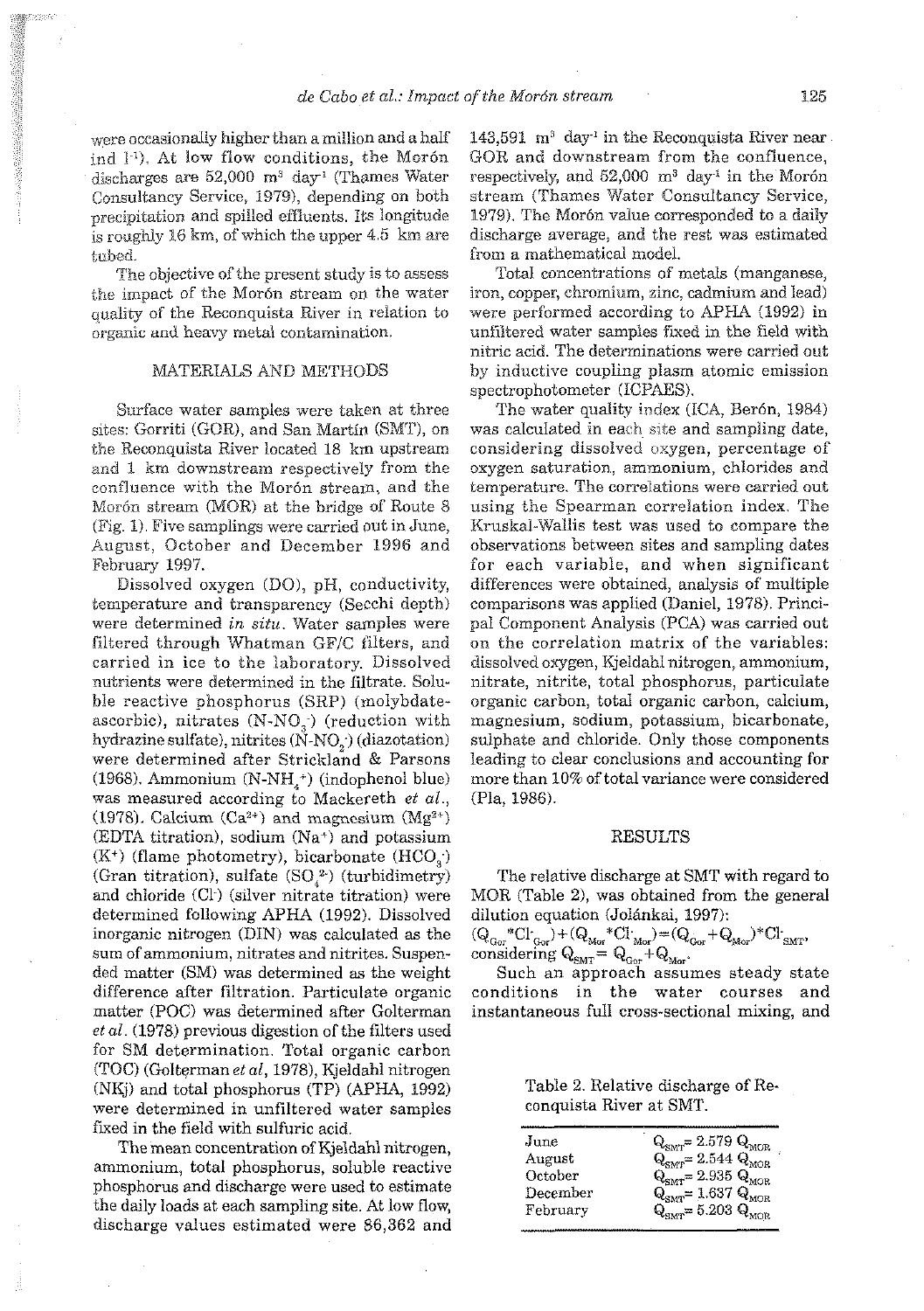were occasionally higher than a million and a half ind  $I^{-1}$ ). At low flow conditions, the Morón discharges are  $52,000$  m<sup>3</sup> day<sup>1</sup> (Thames Water Consultancy Service, 1979), depending on both precipitation and spilled effluents, its longitude is roughly 16 km, of which the upper 4.5 km are tubed.

'Fne objective of the present study is to assess the impact of the Morón stream on the water quality of the Reconquista River in relation to organic and heavy metal contamination.

### MATERIALS AND METHODS

Surface water samples were taken at three sites: Gorriti (GOR), and San Martin (SNIT), on the Reconquista River located 18 krn upstream and 1 km downstream respectively from the confluence with the Morón stream, and the Morón stream (MOR) at the bridge of Route 8 (Fig. I). Five samplings were carried out in June, August, October and December 1996 and February 1997.

Dissolved oxygen (DO), pH, conductivity, temperature and transparency (Secchi depth) were determined in **situ.** Water samples were filtered through Whatman GF/C filters, and carried in ice to the laboratory. Dissolved nutrients were determined in the filtrate. 5oluhie reactive phosphorus (SRP) (rnolybdateascorbic), nitrates  $(N-NO<sub>3</sub>)$  (reduction with hydrazine sulfate), nitrites  $(N-NO<sub>o</sub>)$  (diazotation) were determined after Strickland & Parsons (1968). Ammonium  $(N-NH<sub>4</sub><sup>+</sup>)$  (indophenol blue) was measured according to Mackereth *et* al.; (1978). Calcium  $(Ca^{2+})$  and magnesium  $(Mg^{2+})$ (EDTA titration), sodium  $(Na<sup>+</sup>)$  and potassium  $(K^+)$  (flame photometry), bicarbonate  $(HCO<sub>a</sub>)$ (Gran titration), sulfate  $(SO_4^2)$  (turbidimetry) and chloride (C1-) (silver nitrate titration) were determined following APHA (1992). Dissolved inorganic nitrogen (DIN) was calculated as the sum of ammonium, nitrates and nitrites. Suspended matter (SM) was determined as the weight difference alter filtration. Particulate organic matter (POC) was determined after Golterman *et* al. (1978) previous digestion of the filters used for SM determination. Total organic carbon  $(TOC)$  (Golterman et al, 1978), Kjeldahl nitrogen (NKj) and total phosphorus (TP) **(APHA,** 1992) were determined in unfiltered water samples fixed in the field with sulfuric acid.

The mean concentration of Kjeldahl nitrogen, ammonium, total phosphorus, soluble reactive phosphorus and discharge were used to estimate the daily loads at each sampling site. At low flow, discharge values estimated were 86,362 and 143,591  $m^3$  day<sup>1</sup> in the Reconquista River near GOR and downstream from the confluence, respectively, and  $52,000$  m<sup>3</sup> day<sup>-1</sup> in the Morón stream (Thames Water Consuitancy Service, 1979). The Morón value corresponded to a daily discharge average, and the rest was estimated from a mathematical model.

Total concentrations of metals (manganese, iron, copper, chromium, zinc, cadmium and lead) were performed according to APHA (1992) in unfiltered water samples fixed in the field with nitric acid. The determinations were carried out by inductive coupling plasm atomic emission spectrophotometer (ICPAES).

The water quality index (ICA, Berón, 1984) was calculated in each site and sampling date, considering dissolved oxygen, percentage of oxygen saturation, ammonium, chlorides and temperature. The correiations were carried out using the Spearman correlation index. The Kruskal-Wallis test was used to compare the observations between sites and sampling dates for each variable, and when significant differences were obtained, analysis of multiple comparisons was applied (Daniel, 1978). Principal Component Analysis (PCA) was carried out on the correlation matrix of the variables: dissolved oxygen, Mjeidahl nitrogen, ammonium, nitrate, nitrite, total phosphorus, particulate organic carhon, total organic carhon, calcium, magnesium, sodium, potassium, bicarbonate, sulphate and chloride. Only those components leading to clear conclusions and accounting for more than 10% of total variance were considered (Pla, 1986).

#### RESULTS

The relative discharge at SMT with regard to MOR (Table 2), was ohtained from the general dilution equation (Jolánkai, 1997):

 $(Q_{\text{Gor}}^*U_{\text{Gor}}^*)+(Q_{\text{Mor}}^*U_{\text{Mor}}^*)=(Q_{\text{Gor}}^*+Q_{\text{Mor}})^*U_{\text{SMT}}^*$ considering  $Q_{\text{SMT}} = Q_{\text{Gor}} + Q_{\text{Mpc}}$ 

Such an approach assumes steady state conditions in the water courses and instantaneous full cross-sectional mixing, and

Table 2. Relative discharge of Reconquista River at SMT.

| June     | $\mathbf{u}$<br>$\textit{Q}_\mathrm{SMT}\text{=2.579}$ $\textit{Q}_\mathrm{MOR}$ |
|----------|----------------------------------------------------------------------------------|
| August   | $Q_{\text{SMT}} = 2.544 Q_{\text{MOR}}$                                          |
| October  | $QSMT = 2.935 QMOR$                                                              |
| December | $Q_{\rm SMT} = 1.637 Q_{\rm MOR}$                                                |
| February | $Q_{\text{surr}} = 5.203 Q_{\text{MOR}}$                                         |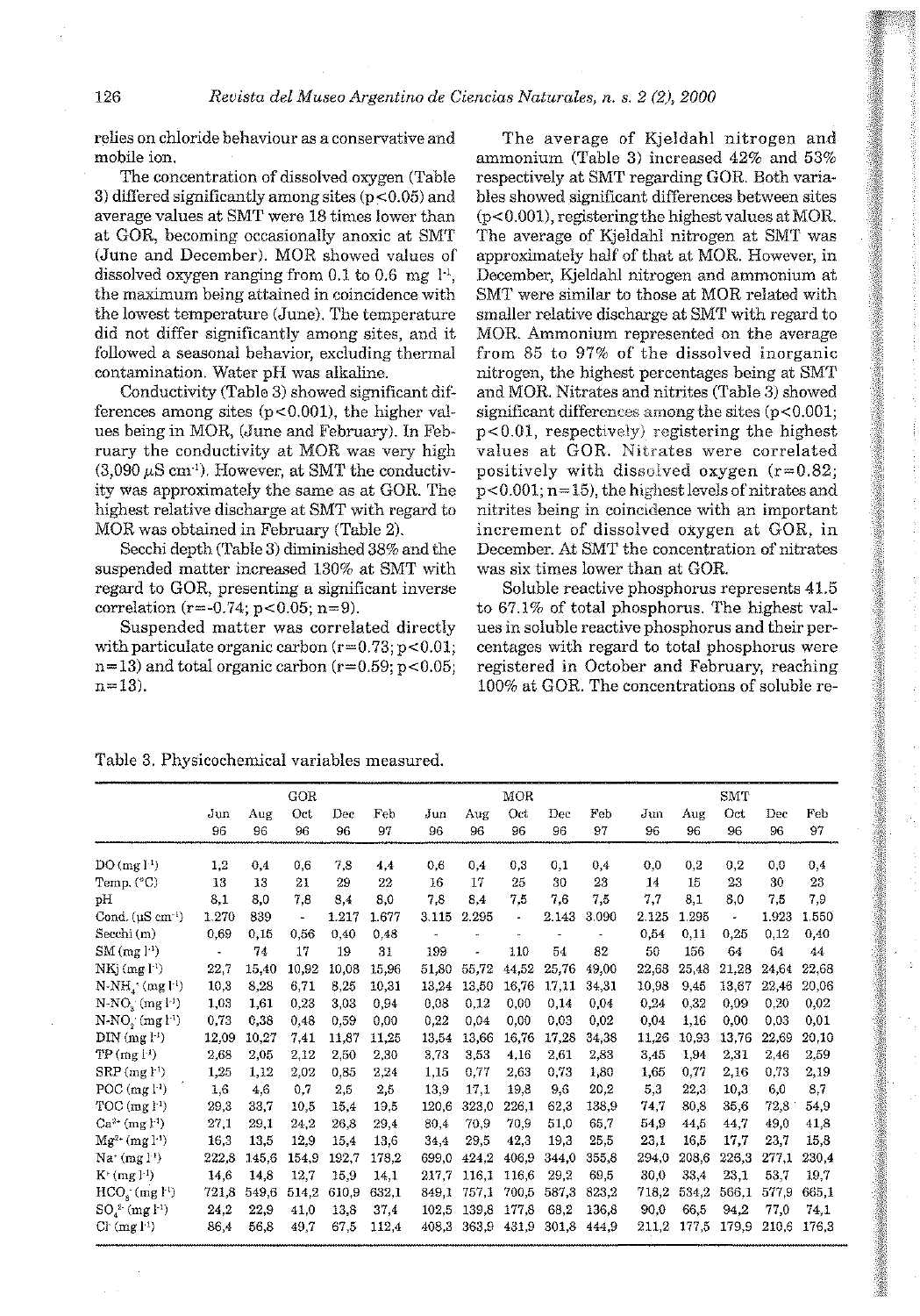relies on chloride behaviour as a conservative and mobile ion.

The concentration of dissolved oxygen (Table 3) differed significantly among sites (p<0.05) and average values at SMT were 18 times lower than at GOR, becoming occasionally anoxic at SMT (June and December). MOR showed values of dissolved oxygen ranging from  $0.1$  to  $0.6$  mg  $1<sup>1</sup>$ , the maximum being attained in coincidence with the lowest temperature (June). The temperature did not differ significantly among sites, and it followed a seasonal behavior, excluding thermal contamination. Water pH was alkaline.

Conductivity (Table 3) showed significant differences among sites  $(p<0.001)$ , the higher values being in MOR, (June and February). In February the conductivity at MOR was very high  $(3,090 \,\mu\mathrm{S\,cm^{-1}})$ . However, at SMT the conductivity was approximately the same as at GOR. The highest relative discharge at SMT with regard to MOR was obtained in February (Table 2).

Secchi depth (Table 3) diminished 38% and the suspended matter increased 130% at SMT with regard to GOR, presenting a significant inverse correlation  $(r=-0.74; p<0.05; n=9)$ .

Suspended matter was correlated directly with particulate organic carbon  $(r=0.73; p<0.01;$  $n=13$ ) and total organic carbon (r=0.59; p<0.05;  $n=13$ ).

The average of Kjeldahl nitrogen and ammonium (Table 3) increased 42% and 53% respectively at SMT regarding GOR. Both variables showed significant diflerences between sites  $(p<0.001)$ , registering the highest values at MOR. The average of Kjeldahl nitrogen at SMT was approximately half of that at MOR. However, in December, Kjeldahl nitrogen and ammonium at SMT were similar to those at MOR related with smaller relative discharge at SMT with regard to MOR. Ammonium represented on the average from 85 to 97% of the dissolved inorganic nitrogen, the highest percentages being at SMT and MOR. Nitrates and nitrites (Table **3)** showed significant differences among the sites (p<0.001;  $p<0.01$ , respectively) registering the highest values at GOR. Nitrates were correlated positively with dissolved oxygen  $(r=0.82)$ ; p<0.001; n=15), the highest levels of nitrates and nitrites being in coincidence with an important increment of dissolved oxygen at GOR, in December. At SMT the concentration of nitrates was six times lower than at GOR.

a- -i

Soluble reactive phosphorus represents 41.5 to 67.1% of total phosphorus. The highest values in soluble reactive phosphorus and their pcrcentages with regard to total phosphorus were registered in October and February, reaching 100% at GOR. The concentrations of soluble re-

Table 3. Physicochemical variables measured

|                                     |                |           | GOR            |           |           |           |           | MOR            |           |           |           |           | SMT       |           |           |
|-------------------------------------|----------------|-----------|----------------|-----------|-----------|-----------|-----------|----------------|-----------|-----------|-----------|-----------|-----------|-----------|-----------|
|                                     | Jun<br>96      | Aug<br>96 | Oct<br>96      | Dec<br>96 | Feb<br>97 | Jun<br>96 | Aug<br>96 | Oct<br>96      | Dec<br>96 | Feb<br>97 | Jun<br>96 | Aug<br>96 | Oct<br>96 | Dec<br>96 | Feb<br>97 |
|                                     |                |           |                |           |           |           |           |                |           |           |           |           |           |           |           |
| DO(mg1 <sup>1</sup> )               | 1,2            | 0.4       | 0,6            | 7.8       | 4.4       | 0.6       | 0.4       | 0,3            | 0,1       | 0,4       | 0,0       | 0,2       | 0,2       | 0,0       | 0,4       |
| Temp. $(^{\circ}C)$                 | 13             | 13        | 21             | 29        | 22        | 16        | 17        | 25             | 30        | 23        | 14        | 15        | 23        | 30        | 23        |
| pН                                  | 8.1            | 8.0       | 7.8            | 8.4       | 8,0       | 7,8       | 8.4       | 7.5            | 7.6       | 7,5       | 7,7       | 8,1       | 8,0       | 7,5       | 7.9       |
| Cond. $(\mu S \text{ cm}^{-1})$     | 1.270          | 839       | $\blacksquare$ | 1.217     | 1.677     | 3.115     | 2.295     | $\blacksquare$ | 2.143     | 3.090     | 2.125     | 1.295     |           | 1.923     | 1.550     |
| Secchi (m)                          | 0.69           | 0.15      | 0,56           | 0.40      | 0.48      |           |           |                |           |           | 0,54      | 0,11      | 0.25      | 0.12      | 0.40      |
| $SM$ (mg $l-1$ )                    | $\blacksquare$ | 74        | 17             | 19        | 31        | 199       |           | 110            | 54        | 82        | 50        | 156       | 64        | 64        | 44        |
| $NKj$ (mg $li$ )                    | 22,7           | 15.40     | 10.92          | 10.08     | 15.96     | 51,80     | 55.72     | 44.52          | 25.76     | 49,00     | 22,68     | 25,48     | 21.28     | 24.64     | 22.68     |
| $N-NH_4^+(mg l^4)$                  | 10,3           | 8,28      | 6,71           | 8,25      | 10,31     | 13,24     | 13.50     | 16,76          | 17.11     | 34,31     | 10,98     | 9.45      | 13,67     | 22,46     | 20,06     |
| $N-NOa (mg l-1)$                    | 1.03           | 1.61      | 0.23           | 3.03      | 0.94      | 0.08      | 0.12      | 0.00           | 0.14      | 0.04      | 0,24      | 0.32      | 0.09      | 0.20      | 0.02      |
| $N-NO_2^{(1)}(mg 1-1)$              | 0.73           | 0.38      | 0.48           | 0.59      | 0.00      | 0.22      | 0.04      | 0.00           | 0.03      | 0,02      | 0.04      | 1.16      | 0.00      | 0.03      | 0,01      |
| $\text{DIM}$ (mg $\text{F}$ )       | 12.09          | 10.27     | 7.41           | 11.87     | 11.25     | 13,54     | 13.66     | 16.76          | 17.28     | 34.38     | 11,26     | 10.93     | 13.76     | 22.69     | 20.10     |
| TP(mg!)                             | 2,68           | 2,05      | 2,12           | 2,50      | 2,30      | 3.73      | 3,53      | 4,16           | 2.61      | 2,83      | 3,45      | 1.94      | 2.31      | 2.46      | 2,59      |
| $SRP$ (mg $l^{\dagger}$ )           | 1.25           | 1.12      | 2,02           | 0.85      | 2,24      | 1.15      | 0.77      | 2.63           | 0.73      | 1.80      | 1,65      | 0.77      | 2.16      | 0.73      | 2,19      |
| $POC$ (mg $l-1$ )                   | 1,6            | 4.6       | 0.7            | 2.5       | 2,5       | 13,9      | 17.1      | 19.8           | 9.6       | 20.2      | 5,3       | 22.3      | 10.3      | 6,0       | 8,7       |
| $TOC$ (mg $\uparrow$ <sup>1</sup> ) | 29.3           | 33.7      | 10.5           | 15,4      | 19.5      | 120,6     | 323.0     | 226.1          | 62.3      | 138.9     | 74,7      | 80,8      | 35.6      | 72.8      | 54.9      |
| $Ca^{2+}$ (mg $F^1$ )               | 27,1           | 29.1      | 24.2           | 26.8      | 29.4      | 80.4      | 70.9      | 70.9           | 51,0      | 65.7      | 54,9      | 44.5      | 44.7      | 49.0      | 41,8      |
| $Mg^{2+}$ (mg $l^{-1}$ )            | 16,5           | 13,5      | 12,9           | 15,4      | 13.6      | 34.4      | 29.5      | 42,3           | 19,3      | 25,5      | 23,1      | 16.5      | 17,7      | 23,7      | 15.8      |
| Na $(mg l3)$                        | 222.8          | 145.6     | 154.9          | 192.7     | 178.2     | 699.0     | 424.2     | 406.9          | 344.0     | 355.8     | 294.0     | 208,6     | 226,3     | 277.1     | 230.4     |
| $K^+(mg l^{-1})$                    | 14.6           | 14,8      | 12,7           | 15.9      | 14.1      | 217,7     | 116.1     | 116.6          | 29.2      | 69.5      | 30.0      | 33.4      | 23.1      | 53.7      | 19.7      |
| $HCOs$ (mg $l3$ )                   | 721,8          | 549,6     | 514.2          | 610.9     | 632.1     | 849.1     | 757,1     | 700.5          | 587,3     | 823,2     | 718,2     | 534,2     | 566,1     | 577,9     | 665.1     |
| $SO_4^2$ (mg $1^1$ )                | 24.2           | 22,9      | 41.0           | 13.8      | 37,4      | 102.5     | 139.8     | 177.8          | 68,2      | 136.8     | 90.0      | 66.5      | 94.2      | 77.0      | 74.1      |
| C <sub>1</sub> (mg <sub>1</sub> )   | 86,4           | 56.8      | 49.7           | 67,5      | 112.4     | 408.3     | 363.9     | 431.9          | 301.8     | 444.9     | 211.2     | 177,5     | 179.9     | 210.6     | 176.3     |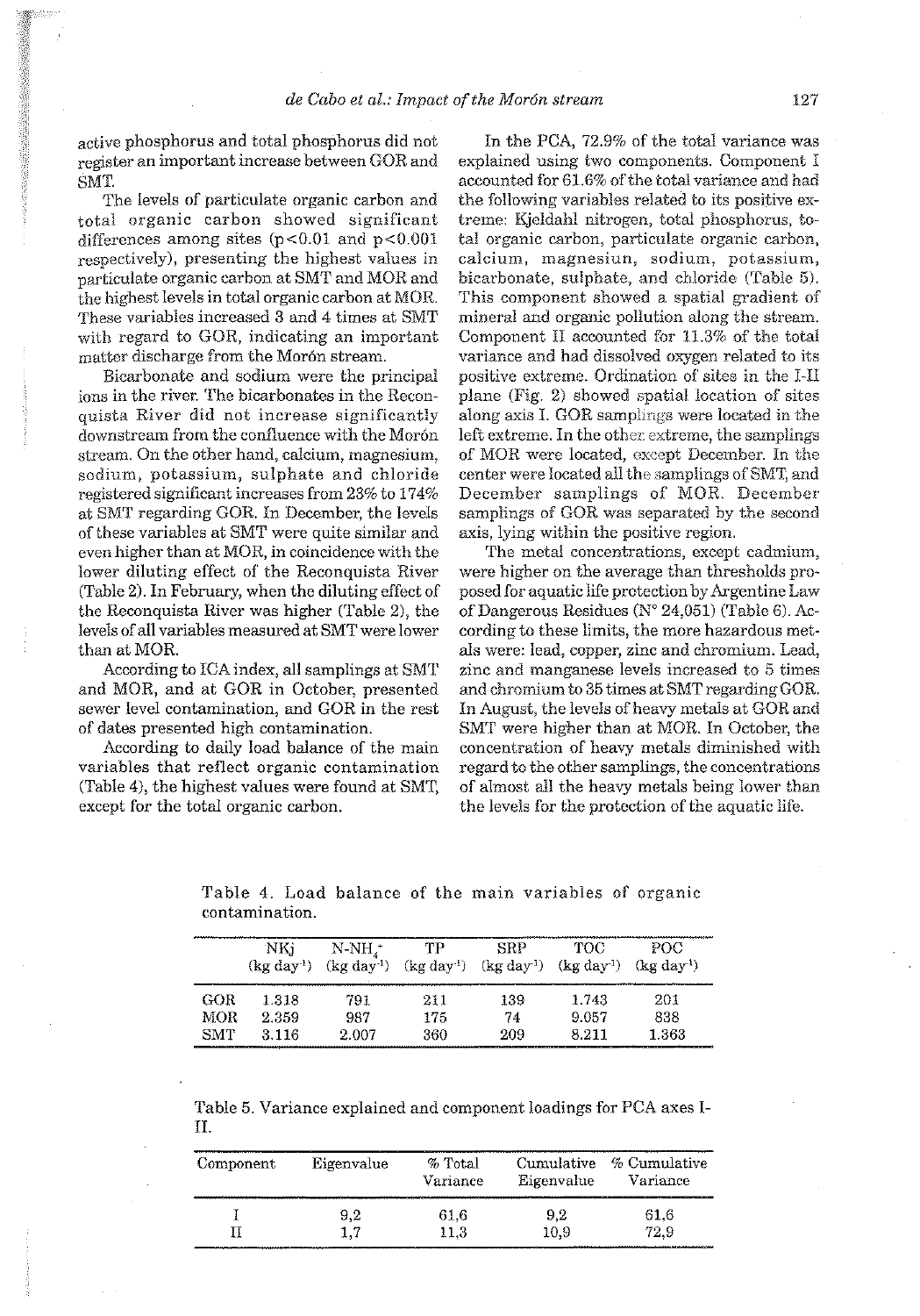active phosphorus and total phosphorus did not register an important increase between GOR and SMT

The levels of particulate organic carhon and total organic carhon showed significant differences among sites  $(p<0.01$  and  $p<0.001$ respectively), presenting the highest values in narticulate organic carbon at SMT and MOR and the highest levels in total organic carbon at MOR. These variables increased **3** and 4 times at SMT with regard to GOR, indicating an important matter discharge from the Morón stream.

Bicarbonate and sodium were the principal ions in the river. The bicarbonates in the Reconquista River did not increase significantly downstream from the confluence with the Morón stream. On the other hand, calcium, magnesium, sodium, potassium, sulphate and chloride registered significant increases from 23% to 174% at SMT regarding GOR. In Decemher, the levels of these variables at SMT were quite similar and even higher than at MOR, in coincidence with the lower diluting effect of the Reconquista River (Table 2). In February, when the diluting effect of the Reconquista River was higher (Table 2), the levels of all variables measured at SMT were lower than at MOR.

According to ICA index, all samplings at SMT and MOR, and at GOR in October, presented sewer level contamination, and GOR in the rest of dates presented high contamination.

According to daily load halance of the main variahles that reflect organic contamination (Table 4), the highest values were found at SMT, except for the total organic carbon.

In the PCA, 72.9% of the total variance was explained using two components. Component 1 accounted for 61.6% of the total variance and had the following variahles related to its positive extreme: Kjcldahl nitrogen, total phosphorus, total organic carbon, particulate organic carhon, calcium, magnesiun, sodium, potassium, hicarhonate, sulphate, and chloride (Table 51. This component showed a spatial gradient of mineral and organic pollution along the stream. Component I1 accounted for 11.3% of the total variance and had dissolved owgen related to its positive extreme. Ordination of sites in the 1-11 plane (Fig. 2) showed spatial iocation of sites along axis I. GOR samplings were located in the left extreme. In the other extreme, the samplings of MOR were located, except December. In the center were located all the samplings of SMT, and December samplings of MOR. December samplings of GOR was separated by the second axis, lying within the positive region.

The metal concentrations, except cadmium, were higher on the average than thresholds proposed for aquatic life protection by Argentine Law of Dangerous Residues (N" 24,051) (Tahle 6). According to these limits, the more hazardous metds were: lead, copper, zinc and chromium. Lead, zinc and manganese levels increased to *5* times and chromium to 35 times at SMT regarding GOR. In August, the levels of heavy metals at GOR and SMT were higher than at MOR. In October, the concentration of heavy metals diminished with regard to the other samplings, the concentrations of almost all the heavy metals heing lower than the levels for the protection of the aquatic life.

|      | NKj<br>$(\text{kg day}^1)$ | $N-NH_{\lambda}^+$<br>$(kg day^1)$ | TP<br>$(kg day-1)$ | SRP<br>$(\text{kg day}^1)$ | TOC<br>$(kg \,day^1)$ | POC<br>$(kg \,day^1)$ |
|------|----------------------------|------------------------------------|--------------------|----------------------------|-----------------------|-----------------------|
| GOR  | 1.318                      | 791                                | 211                | 139                        | 1.743                 | 201                   |
| MOR. | 2.359                      | 987                                | 175                | 74.                        | 9.057                 | 838                   |
| SMT  | 3.116                      | 2.007                              | 360                | 209                        | 8.211                 | 1.363                 |

Table 4. Load balance of the main variables of organic contamination.

|  |  | Table 5. Variance explained and component loadings for PCA axes I- |  |  |  |
|--|--|--------------------------------------------------------------------|--|--|--|
|  |  |                                                                    |  |  |  |

| Component | Eigenvalue | $%$ Total<br>Variance | Cumulative<br>Eigenvalue | % Cumulative<br>Variance |
|-----------|------------|-----------------------|--------------------------|--------------------------|
|           | 9,2        | 61,6                  | 9,2                      | 61.6                     |
|           | 1.7        | 11.3                  | 10.9                     | 72.9                     |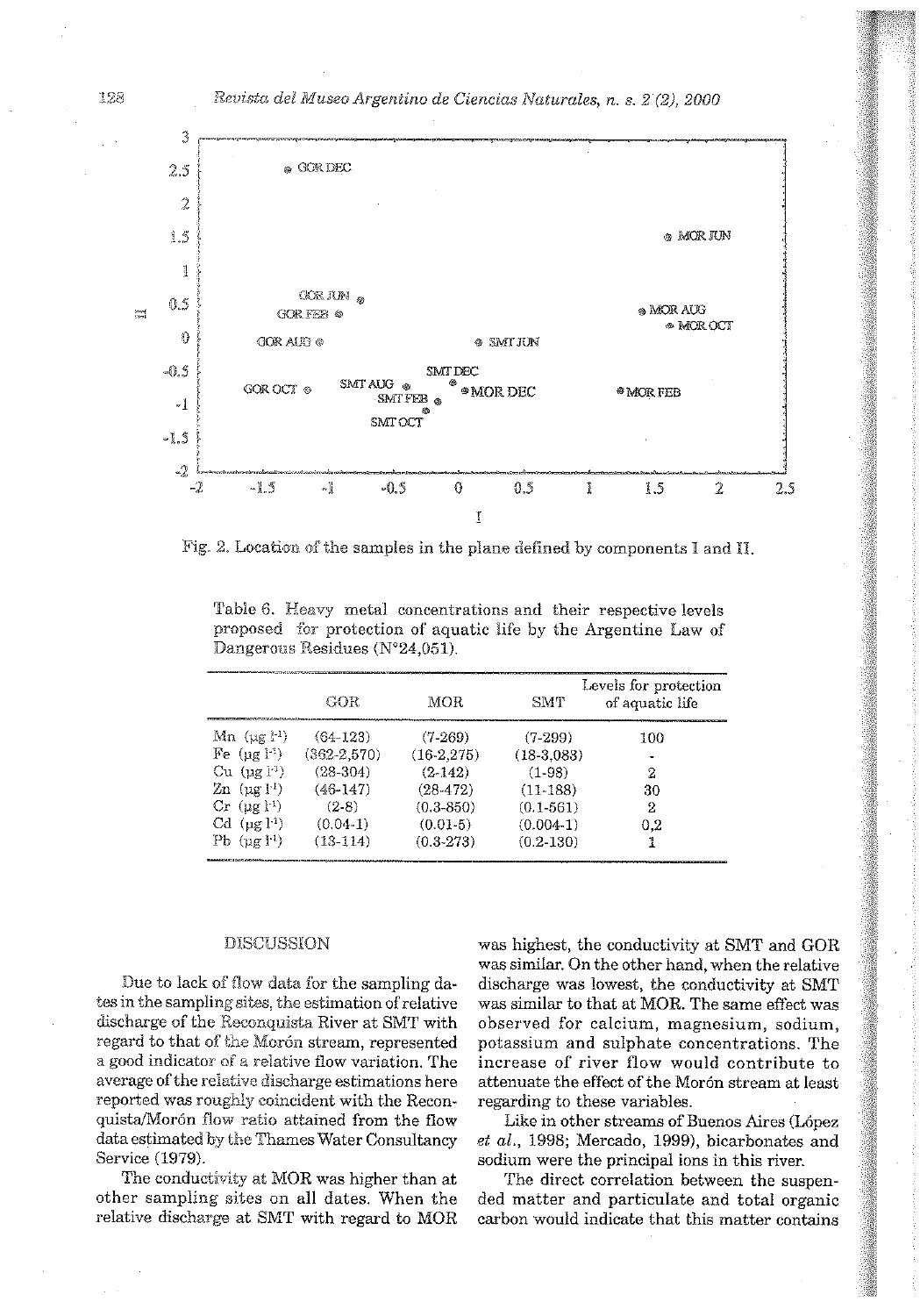

Fig. 2. Location of the samples in the plane defined by components I and II.

Table 6. Heavy metal concentrations and their respective levels proposed for protection of aquatic life by the Argentine Law of Dangerous Residues (N°24,051).

|                                                                                                   | GOR             | MOR           | <b>SMT</b>    | Levels for protection<br>of aquatic life |
|---------------------------------------------------------------------------------------------------|-----------------|---------------|---------------|------------------------------------------|
| $\mathrm{Mn}$ (ug $l^{-1}$ )                                                                      | $(64-123)$      | $(7-269)$     | $(7-299)$     | 100                                      |
| Fe $(ue^{\{1\}})$                                                                                 | $(362 - 2.570)$ | $(16-2.275)$  | $(18-3.083)$  |                                          |
| $Cu$ $(\mu g)^{1}$                                                                                | $(28-304)$      | $(2-142)$     | (1.98)        | 2                                        |
| $\ln$ $(\text{ng } \text{l}^1)$                                                                   | $(46-147)$      | (28, 472)     | $(11-188)$    | 30                                       |
| $Cr$ (pg $\downarrow$ <sup>1</sup> )                                                              | (2.8)           | $(0.3 - 850)$ | $(0.1 - 561)$ | 2                                        |
| $Cd$ ( $\mu$ g $\downarrow$ <sup>1</sup> )                                                        | $(0.04-1)$      | $(0.01-5)$    | $(0.004-1)$   | 0.2                                      |
| Pb $(\mu g l^1)$<br>Messinan Call Mary Antonym (Volume and Contract Antonym and Call Mary Antonym | $(13-114)$      | $(0.3-273)$   | $(0.2 - 130)$ |                                          |

#### **DISCUSSION**

Due to lack of flow data for the sampling dates in the sampling sites, the estimation of relative discharge of the Reconquista River at SMT with regard to that of the Morón stream, represented a good indicator of a relative flow variation. The average of the relative discharge estimations here reported was roughly coincident with the Reconquista/Morón flow ratio attained from the flow data estimated by the Thames Water Consultancy Service (1979).

The conductivity at MOR was higher than at other sampling sites on all dates. When the relative discharge at SMT with regard to MOR

was highest, the conductivity at SMT and GOR was similar. On the other hand, when the relative discharge was lowest, the conductivity at SMT was similar to that at MOR. The same effect was observed for calcium, magnesium, sodium, potassium and sulphate concentrations. The increase of river flow would contribute to attenuate the effect of the Morón stream at least regarding to these variables.

Like in other streams of Buenos Aires (López et al., 1998; Mercado, 1999), bicarbonates and sodium were the principal ions in this river.

The direct correlation between the suspended matter and particulate and total organic carbon would indicate that this matter contains

128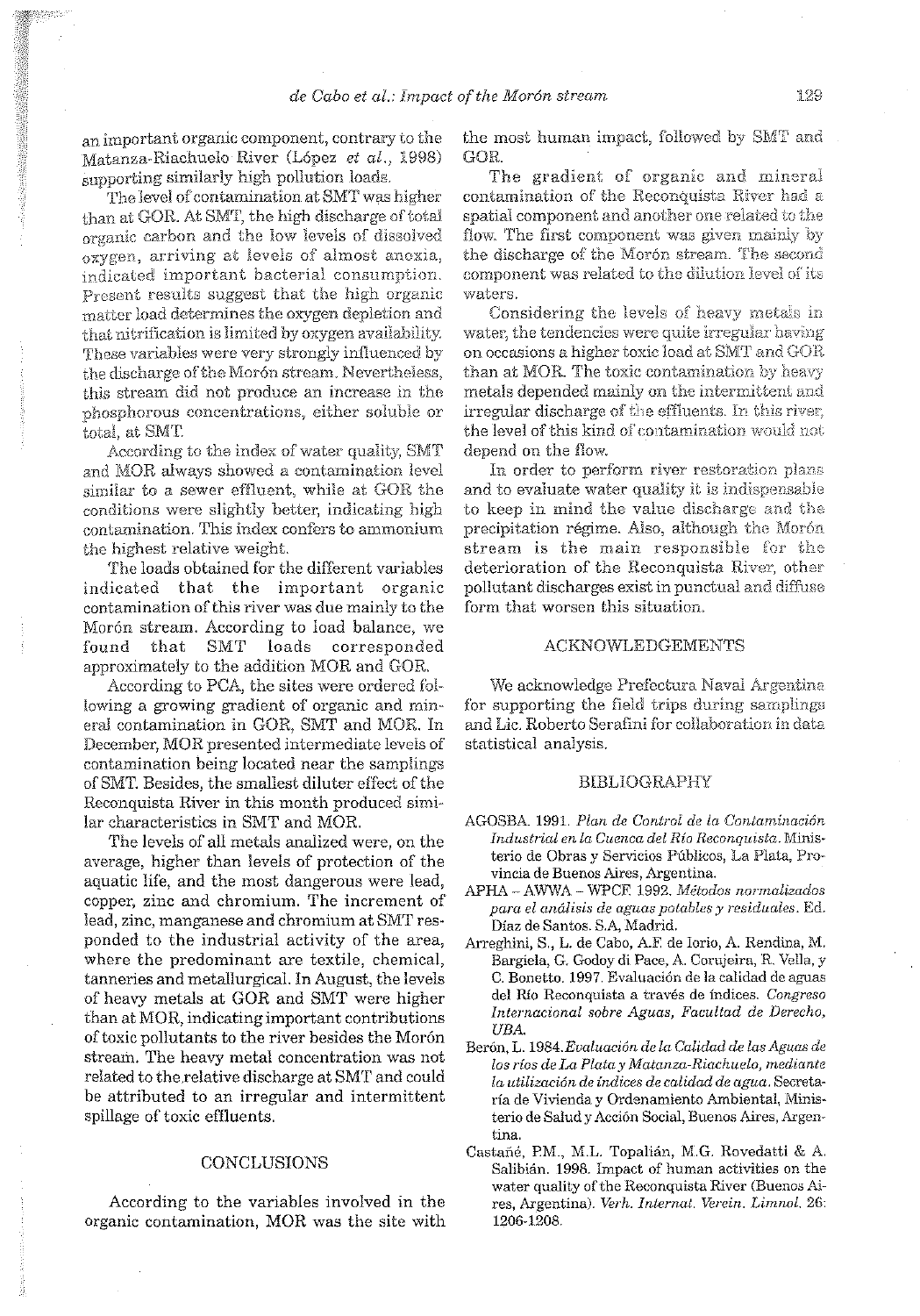an important organic component, contrary to the Matanza-Riachuelo River (López et al., 1998) supporting similarly high pollution loads.

.<br>The level of contamination at SMT was higher than at GOR. At SMT, the high discharge of total organic carbon and the low levels of dissolved oxygen, arriving at levels of almost anoxia, indicated important bacterial consumption. Present results suggest that the high organic matter load determines the oxygen depletion and that nitrification is limited by oxygen availability. These variables were very strongly influenced by the discharge of the Morón stream. Nevertheless, this stream did not produce an increase in the phosphorous concentrations, either soluble or total, at SMT.

According to the index of water quality, SMT and MOR always showed a contamination level similar to a sewer effluent, while at GOR the conditions were slightly better, indicating high contamination. This index confers to ammonium the highest relative weight.

The loads obtained for the different variables indicated that the important organic contamination of this river was due mainly to the Morón stream. According to load balance, we **SMT** loads corresponded found that approximately to the addition MOR and GOR.

According to PCA, the sites were ordered following a growing gradient of organic and mineral contamination in GOR, SMT and MOR. In December, MOR presented intermediate levels of contamination being located near the samplings of SMT. Besides, the smallest diluter effect of the Reconquista River in this month produced similar characteristics in SMT and MOR.

The levels of all metals analized were, on the average, higher than levels of protection of the aquatic life, and the most dangerous were lead, copper, zinc and chromium. The increment of lead, zinc, manganese and chromium at SMT responded to the industrial activity of the area, where the predominant are textile, chemical, tanneries and metallurgical. In August, the levels of heavy metals at GOR and SMT were higher than at MOR, indicating important contributions of toxic pollutants to the river besides the Morón stream. The heavy metal concentration was not related to the relative discharge at SMT and could be attributed to an irregular and intermittent spillage of toxic effluents.

# CONCLUSIONS

According to the variables involved in the organic contamination, MOR was the site with

the most human impact, followed by SMT and GOR.

The gradient of organic and mineral contamination of the Reconquista River had a spatial component and another one related to the flow. The first component was given mainly by the discharge of the Moron stream. The second component was related to the dilution level of its waters.

Considering the levels of heavy metals in water, the tendencies were quite irregular having on occasions a higher toxic load at SMT and GOR than at MOR. The toxic contamination by heavy metals depended mainly on the intermittent and irregular discharge of the effluents. In this river, the level of this kind of contamination would not depend on the flow.

In order to perform river restoration plans and to evaluate water quality it is indispensable to keep in mind the value discharge and the precipitation régime. Also, although the Morón stream is the main responsible for the deterioration of the Reconquista River, other pollutant discharges exist in punctual and diffuse form that worsen this situation.

## **ACKNOWLEDGEMENTS**

We acknowledge Prefectura Naval Argentina for supporting the field trips during samplings and Lic. Roberto Serafini for collaboration in data statistical analysis.

#### **BIBLIOGRAPHY**

- AGOSBA. 1991. Plan de Control de la Contaminación Industrial en la Cuenca del Río Reconquista. Ministerio de Obras y Servicios Públicos, La Plata, Provincia de Buenos Aires, Argentina.
- APHA AWWA WPCF, 1992. Métodos normalizados para el análisis de aguas potables y residuales. Ed. Díaz de Santos. S.A, Madrid.
- Arreghini, S., L. de Cabo, A.F. de Iorio, A. Rendina, M. Bargiela, G. Godoy di Pace, A. Corujeira, R. Vella, y C. Bonetto. 1997. Evaluación de la calidad de aguas del Río Reconquista a través de índices. Congreso Internacional sobre Aguas, Facultad de Derecho, UBA.
- Berón, L. 1984. Evaluación de la Calidad de las Aguas de los ríos de La Plata y Matanza-Riachuelo, mediante la utilización de índices de calidad de agua. Secretaría de Vivienda y Ordenamiento Ambiental, Ministerio de Salud y Acción Social, Buenos Aires, Argentina.
- Castañé, P.M., M.L. Topalián, M.G. Rovedatti & A. Salibián, 1998. Impact of human activities on the water quality of the Reconquista River (Buenos Aires, Argentina). Verh. Internat. Verein. Limnol. 26: 1206-1208.